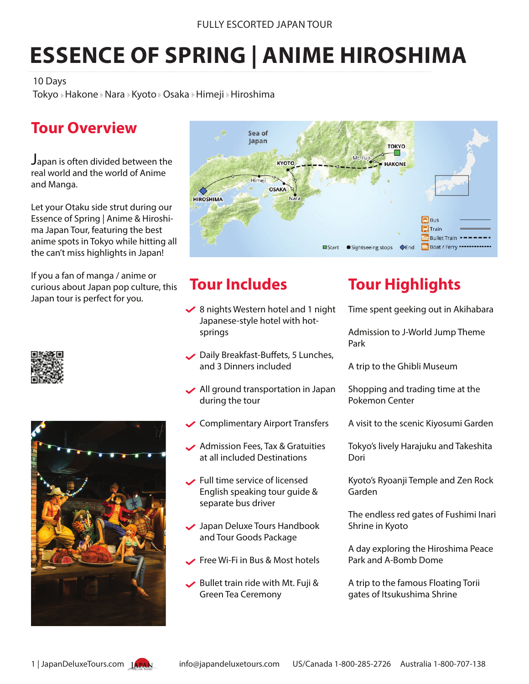# **ESSENCE OF SPRING | ANIME HIROSHIMA**

10 Days

Tokyo » Hakone » Nara » Kyoto » Osaka » Himeji » Hiroshima

# **Tour Overview**

Japan is often divided between the real world and the world of Anime and Manga.

Let your Otaku side strut during our Essence of Spring | Anime & Hiroshima Japan Tour, featuring the best anime spots in Tokyo while hitting all the can't miss highlights in Japan!

If you a fan of manga / anime or curious about Japan pop culture, this Japan tour is perfect for you.







# **Tour Includes**

- $\blacktriangleright$  8 nights Western hotel and 1 night Japanese-style hotel with hot springs
- Daily Breakfast-Buffets, 5 Lunches, and 3 Dinners included
- All ground transportation in Japan during the tour
- Complimentary Airport Transfers
- Admission Fees, Tax & Gratuities at all included Destinations
- Full time service of licensed English speaking tour guide & separate bus driver
- **◆** Japan Deluxe Tours Handbook and Tour Goods Package
- Free Wi-Fi in Bus & Most hotels
- Bullet train ride with Mt. Fuji & Green Tea Ceremony

# **Tour Highlights**

Time spent geeking out in Akihabara

Admission to J-World Jump Theme Park

A trip to the Ghibli Museum

Shopping and trading time at the Pokemon Center

A visit to the scenic Kiyosumi Garden

Tokyo's lively Harajuku and Takeshita Dori

Kyoto's Ryoanji Temple and Zen Rock Garden

The endless red gates of Fushimi Inari Shrine in Kyoto

A day exploring the Hiroshima Peace Park and A-Bomb Dome

A trip to the famous Floating Torii gates of Itsukushima Shrine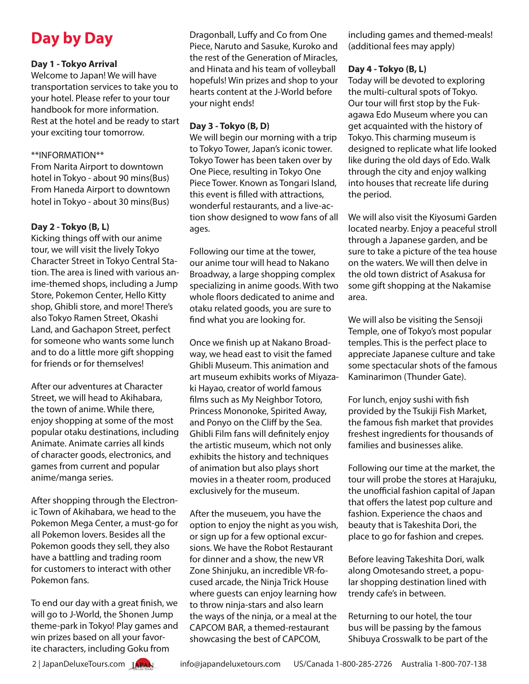# **Day by Day**

#### **Day 1 - Tokyo Arrival**

Welcome to Japan! We will have transportation services to take you to your hotel. Please refer to your tour handbook for more information. Rest at the hotel and be ready to start your exciting tour tomorrow.

#### \*\*INFORMATION\*\*

From Narita Airport to downtown hotel in Tokyo - about 90 mins(Bus) From Haneda Airport to downtown hotel in Tokyo - about 30 mins(Bus)

#### **Day 2 - Tokyo (B, L)**

Kicking things off with our anime tour, we will visit the lively Tokyo Character Street in Tokyo Central Station. The area is lined with various anime-themed shops, including a Jump Store, Pokemon Center, Hello Kitty shop, Ghibli store, and more! There's also Tokyo Ramen Street, Okashi Land, and Gachapon Street, perfect for someone who wants some lunch and to do a little more gift shopping for friends or for themselves!

After our adventures at Character Street, we will head to Akihabara, the town of anime. While there, enjoy shopping at some of the most popular otaku destinations, including Animate. Animate carries all kinds of character goods, electronics, and games from current and popular anime/manga series.

After shopping through the Electronic Town of Akihabara, we head to the Pokemon Mega Center, a must-go for all Pokemon lovers. Besides all the Pokemon goods they sell, they also have a battling and trading room for customers to interact with other Pokemon fans.

To end our day with a great finish, we will go to J-World, the Shonen Jump theme-park in Tokyo! Play games and win prizes based on all your favorite characters, including Goku from

Dragonball, Luffy and Co from One Piece, Naruto and Sasuke, Kuroko and the rest of the Generation of Miracles, and Hinata and his team of volleyball hopefuls! Win prizes and shop to your hearts content at the J-World before your night ends!

#### **Day 3 - Tokyo (B, D)**

We will begin our morning with a trip to Tokyo Tower, Japan's iconic tower. Tokyo Tower has been taken over by One Piece, resulting in Tokyo One Piece Tower. Known as Tongari Island, this event is filled with attractions, wonderful restaurants, and a live-action show designed to wow fans of all ages.

Following our time at the tower, our anime tour will head to Nakano Broadway, a large shopping complex specializing in anime goods. With two whole floors dedicated to anime and otaku related goods, you are sure to find what you are looking for.

Once we finish up at Nakano Broadway, we head east to visit the famed Ghibli Museum. This animation and art museum exhibits works of Miyazaki Hayao, creator of world famous films such as My Neighbor Totoro, Princess Mononoke, Spirited Away, and Ponyo on the Cliff by the Sea. Ghibli Film fans will definitely enjoy the artistic museum, which not only exhibits the history and techniques of animation but also plays short movies in a theater room, produced exclusively for the museum.

After the museuem, you have the option to enjoy the night as you wish, or sign up for a few optional excursions. We have the Robot Restaurant for dinner and a show, the new VR Zone Shinjuku, an incredible VR-focused arcade, the Ninja Trick House where guests can enjoy learning how to throw ninja-stars and also learn the ways of the ninja, or a meal at the CAPCOM BAR, a themed-restaurant showcasing the best of CAPCOM,

including games and themed-meals! (additional fees may apply)

#### **Day 4 - Tokyo (B, L)**

Today will be devoted to exploring the multi-cultural spots of Tokyo. Our tour will first stop by the Fukagawa Edo Museum where you can get acquainted with the history of Tokyo. This charming museum is designed to replicate what life looked like during the old days of Edo. Walk through the city and enjoy walking into houses that recreate life during the period.

We will also visit the Kiyosumi Garden located nearby. Enjoy a peaceful stroll through a Japanese garden, and be sure to take a picture of the tea house on the waters. We will then delve in the old town district of Asakusa for some gift shopping at the Nakamise area.

We will also be visiting the Sensoji Temple, one of Tokyo's most popular temples. This is the perfect place to appreciate Japanese culture and take some spectacular shots of the famous Kaminarimon (Thunder Gate).

For lunch, enjoy sushi with fish provided by the Tsukiji Fish Market, the famous fish market that provides freshest ingredients for thousands of families and businesses alike.

Following our time at the market, the tour will probe the stores at Harajuku, the unofficial fashion capital of Japan that offers the latest pop culture and fashion. Experience the chaos and beauty that is Takeshita Dori, the place to go for fashion and crepes.

Before leaving Takeshita Dori, walk along Omotesando street, a popular shopping destination lined with trendy cafe's in between.

Returning to our hotel, the tour bus will be passing by the famous Shibuya Crosswalk to be part of the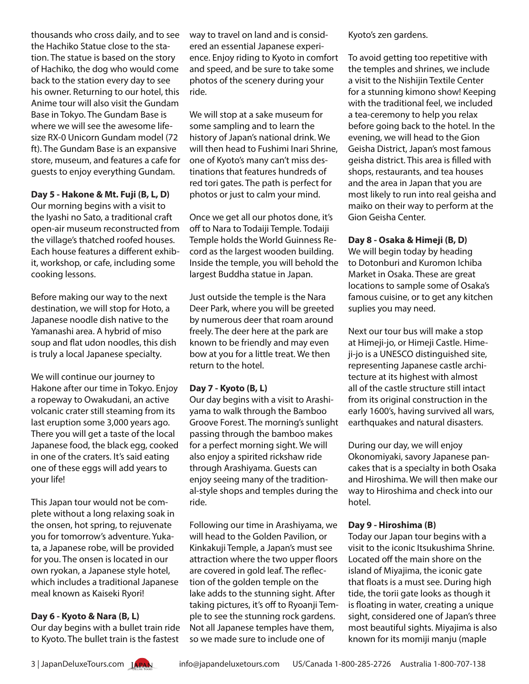thousands who cross daily, and to see the Hachiko Statue close to the station. The statue is based on the story of Hachiko, the dog who would come back to the station every day to see his owner. Returning to our hotel, this Anime tour will also visit the Gundam Base in Tokyo. The Gundam Base is where we will see the awesome lifesize RX-0 Unicorn Gundam model (72 ft). The Gundam Base is an expansive store, museum, and features a cafe for guests to enjoy everything Gundam.

**Day 5 - Hakone & Mt. Fuji (B, L, D)** Our morning begins with a visit to the Iyashi no Sato, a traditional craft open-air museum reconstructed from the village's thatched roofed houses. Each house features a different exhibit, workshop, or cafe, including some cooking lessons.

Before making our way to the next destination, we will stop for Hoto, a Japanese noodle dish native to the Yamanashi area. A hybrid of miso soup and flat udon noodles, this dish is truly a local Japanese specialty.

We will continue our journey to Hakone after our time in Tokyo. Enjoy a ropeway to Owakudani, an active volcanic crater still steaming from its last eruption some 3,000 years ago. There you will get a taste of the local Japanese food, the black egg, cooked in one of the craters. It's said eating one of these eggs will add years to your life!

This Japan tour would not be complete without a long relaxing soak in the onsen, hot spring, to rejuvenate you for tomorrow's adventure. Yukata, a Japanese robe, will be provided for you. The onsen is located in our own ryokan, a Japanese style hotel, which includes a traditional Japanese meal known as Kaiseki Ryori!

#### **Day 6 - Kyoto & Nara (B, L)**

Our day begins with a bullet train ride to Kyoto. The bullet train is the fastest

way to travel on land and is considered an essential Japanese experience. Enjoy riding to Kyoto in comfort and speed, and be sure to take some photos of the scenery during your ride.

We will stop at a sake museum for some sampling and to learn the history of Japan's national drink. We will then head to Fushimi Inari Shrine, one of Kyoto's many can't miss destinations that features hundreds of red tori gates. The path is perfect for photos or just to calm your mind.

Once we get all our photos done, it's off to Nara to Todaiji Temple. Todaiji Temple holds the World Guinness Record as the largest wooden building. Inside the temple, you will behold the largest Buddha statue in Japan.

Just outside the temple is the Nara Deer Park, where you will be greeted by numerous deer that roam around freely. The deer here at the park are known to be friendly and may even bow at you for a little treat. We then return to the hotel.

#### **Day 7 - Kyoto (B, L)**

Our day begins with a visit to Arashiyama to walk through the Bamboo Groove Forest. The morning's sunlight passing through the bamboo makes for a perfect morning sight. We will also enjoy a spirited rickshaw ride through Arashiyama. Guests can enjoy seeing many of the traditional-style shops and temples during the ride.

Following our time in Arashiyama, we will head to the Golden Pavilion, or Kinkakuji Temple, a Japan's must see attraction where the two upper floors are covered in gold leaf. The reflection of the golden temple on the lake adds to the stunning sight. After taking pictures, it's off to Ryoanji Temple to see the stunning rock gardens. Not all Japanese temples have them, so we made sure to include one of

Kyoto's zen gardens.

To avoid getting too repetitive with the temples and shrines, we include a visit to the Nishijin Textile Center for a stunning kimono show! Keeping with the traditional feel, we included a tea-ceremony to help you relax before going back to the hotel. In the evening, we will head to the Gion Geisha District, Japan's most famous geisha district. This area is filled with shops, restaurants, and tea houses and the area in Japan that you are most likely to run into real geisha and maiko on their way to perform at the Gion Geisha Center.

#### **Day 8 - Osaka & Himeji (B, D)**

We will begin today by heading to Dotonburi and Kuromon Ichiba Market in Osaka. These are great locations to sample some of Osaka's famous cuisine, or to get any kitchen suplies you may need.

Next our tour bus will make a stop at Himeji-jo, or Himeji Castle. Himeji-jo is a UNESCO distinguished site, representing Japanese castle architecture at its highest with almost all of the castle structure still intact from its original construction in the early 1600's, having survived all wars, earthquakes and natural disasters.

During our day, we will enjoy Okonomiyaki, savory Japanese pancakes that is a specialty in both Osaka and Hiroshima. We will then make our way to Hiroshima and check into our hotel.

#### **Day 9 - Hiroshima (B)**

Today our Japan tour begins with a visit to the iconic Itsukushima Shrine. Located off the main shore on the island of Miyajima, the iconic gate that floats is a must see. During high tide, the torii gate looks as though it is floating in water, creating a unique sight, considered one of Japan's three most beautiful sights. Miyajima is also known for its momiji manju (maple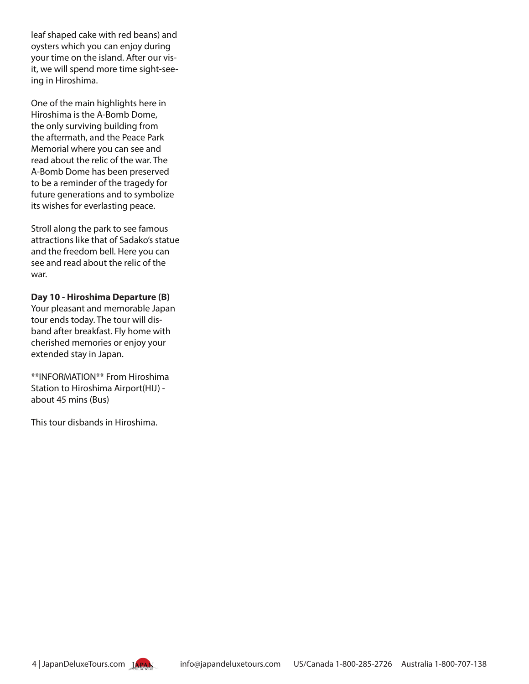leaf shaped cake with red beans) and oysters which you can enjoy during your time on the island. After our visit, we will spend more time sight-seeing in Hiroshima.

One of the main highlights here in Hiroshima is the A-Bomb Dome, the only surviving building from the aftermath, and the Peace Park Memorial where you can see and read about the relic of the war. The A-Bomb Dome has been preserved to be a reminder of the tragedy for future generations and to symbolize its wishes for everlasting peace.

Stroll along the park to see famous attractions like that of Sadako's statue and the freedom bell. Here you can see and read about the relic of the war.

**Day 10 - Hiroshima Departure (B)** Your pleasant and memorable Japan tour ends today. The tour will disband after breakfast. Fly home with cherished memories or enjoy your extended stay in Japan.

\*\*INFORMATION\*\* From Hiroshima Station to Hiroshima Airport(HIJ) about 45 mins (Bus)

This tour disbands in Hiroshima.

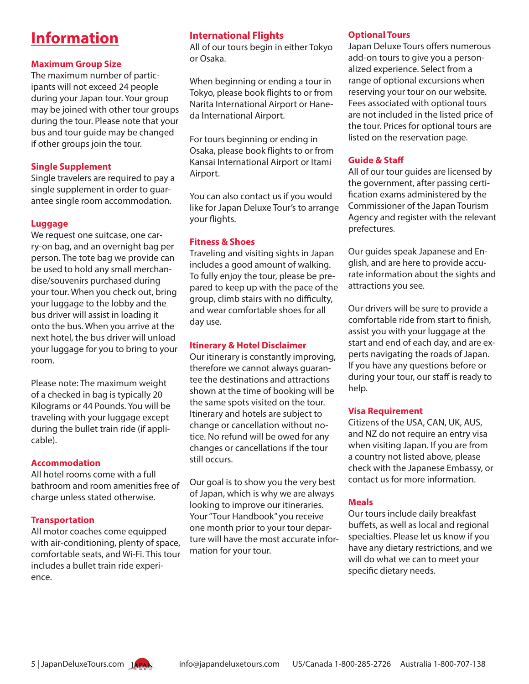# **Information**

#### **Maximum Group Size**

The maximum number of participants will not exceed 24 people during your Japan tour. Your group may be joined with other tour groups during the tour. Please note that your bus and tour guide may be changed if other groups join the tour.

#### **Single Supplement**

Single travelers are required to pay a single supplement in order to guarantee single room accommodation.

#### **Luggage**

We request one suitcase, one carry-on bag, and an overnight bag per person. The tote bag we provide can be used to hold any small merchandise/souvenirs purchased during your tour. When you check out, bring your luggage to the lobby and the bus driver will assist in loading it onto the bus. When you arrive at the next hotel, the bus driver will unload your luggage for you to bring to your room.

Please note: The maximum weight of a checked in bag is typically 20 Kilograms or 44 Pounds. You will be traveling with your luggage except during the bullet train ride (if applicable).

#### **Accommodation**

All hotel rooms come with a full bathroom and room amenities free of charge unless stated otherwise.

#### **Transportation**

All motor coaches come equipped with air-conditioning, plenty of space, comfortable seats, and Wi-Fi. This tour includes a bullet train ride experience.

#### **International Flights**

All of our tours begin in either Tokyo or Osaka.

When beginning or ending a tour in Tokyo, please book flights to or from Narita International Airport or Haneda International Airport.

For tours beginning or ending in Osaka, please book flights to or from Kansai International Airport or Itami Airport.

You can also contact us if you would like for Japan Deluxe Tour's to arrange your flights.

#### **Fitness & Shoes**

Traveling and visiting sights in Japan includes a good amount of walking. To fully enjoy the tour, please be prepared to keep up with the pace of the group, climb stairs with no difficulty, and wear comfortable shoes for all day use.

#### **Itinerary & Hotel Disclaimer**

Our itinerary is constantly improving, therefore we cannot always guarantee the destinations and attractions shown at the time of booking will be the same spots visited on the tour. Itinerary and hotels are subject to change or cancellation without notice. No refund will be owed for any changes or cancellations if the tour still occurs.

Our goal is to show you the very best of Japan, which is why we are always looking to improve our itineraries. Your "Tour Handbook" you receive one month prior to your tour departure will have the most accurate information for your tour.

#### **Optional Tours**

Japan Deluxe Tours offers numerous add-on tours to give you a personalized experience. Select from a range of optional excursions when reserving your tour on our website. Fees associated with optional tours are not included in the listed price of the tour. Prices for optional tours are listed on the reservation page.

#### **Guide & Staff**

All of our tour guides are licensed by the government, after passing certification exams administered by the Commissioner of the Japan Tourism Agency and register with the relevant prefectures.

Our guides speak Japanese and English, and are here to provide accurate information about the sights and attractions you see.

Our drivers will be sure to provide a comfortable ride from start to finish, assist you with your luggage at the start and end of each day, and are experts navigating the roads of Japan. If you have any questions before or during your tour, our staff is ready to help.

#### **Visa Requirement**

Citizens of the USA, CAN, UK, AUS, and NZ do not require an entry visa when visiting Japan. If you are from a country not listed above, please check with the Japanese Embassy, or contact us for more information.

#### **Meals**

Our tours include daily breakfast buffets, as well as local and regional specialties. Please let us know if you have any dietary restrictions, and we will do what we can to meet your specific dietary needs.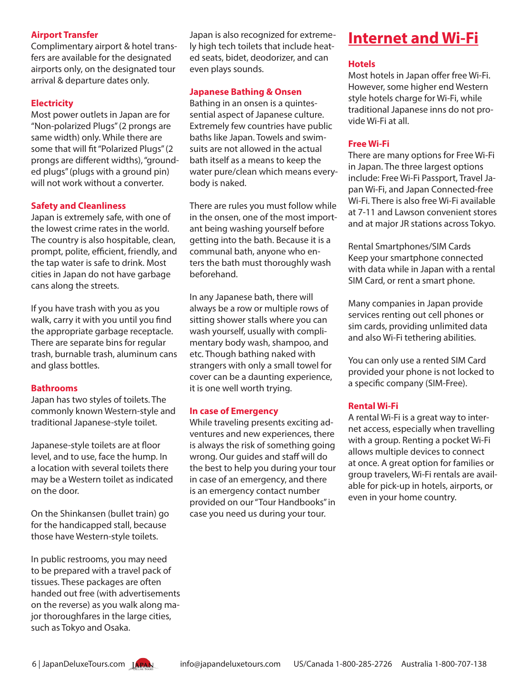#### **Airport Transfer**

Complimentary airport & hotel transfers are available for the designated airports only, on the designated tour arrival & departure dates only.

#### **Electricity**

Most power outlets in Japan are for "Non-polarized Plugs" (2 prongs are same width) only. While there are some that will fit "Polarized Plugs" (2 prongs are different widths), "grounded plugs" (plugs with a ground pin) will not work without a converter.

#### **Safety and Cleanliness**

Japan is extremely safe, with one of the lowest crime rates in the world. The country is also hospitable, clean, prompt, polite, efficient, friendly, and the tap water is safe to drink. Most cities in Japan do not have garbage cans along the streets.

If you have trash with you as you walk, carry it with you until you find the appropriate garbage receptacle. There are separate bins for regular trash, burnable trash, aluminum cans and glass bottles.

#### **Bathrooms**

Japan has two styles of toilets. The commonly known Western-style and traditional Japanese-style toilet.

Japanese-style toilets are at floor level, and to use, face the hump. In a location with several toilets there may be a Western toilet as indicated on the door.

On the Shinkansen (bullet train) go for the handicapped stall, because those have Western-style toilets.

In public restrooms, you may need to be prepared with a travel pack of tissues. These packages are often handed out free (with advertisements on the reverse) as you walk along major thoroughfares in the large cities, such as Tokyo and Osaka.

Japan is also recognized for extremely high tech toilets that include heated seats, bidet, deodorizer, and can even plays sounds.

#### **Japanese Bathing & Onsen**

Bathing in an onsen is a quintessential aspect of Japanese culture. Extremely few countries have public baths like Japan. Towels and swimsuits are not allowed in the actual bath itself as a means to keep the water pure/clean which means everybody is naked.

There are rules you must follow while in the onsen, one of the most important being washing yourself before getting into the bath. Because it is a communal bath, anyone who enters the bath must thoroughly wash beforehand.

In any Japanese bath, there will always be a row or multiple rows of sitting shower stalls where you can wash yourself, usually with complimentary body wash, shampoo, and etc. Though bathing naked with strangers with only a small towel for cover can be a daunting experience, it is one well worth trying.

#### **In case of Emergency**

While traveling presents exciting adventures and new experiences, there is always the risk of something going wrong. Our guides and staff will do the best to help you during your tour in case of an emergency, and there is an emergency contact number provided on our "Tour Handbooks" in case you need us during your tour.

# **Internet and Wi-Fi**

#### **Hotels**

Most hotels in Japan offer free Wi-Fi. However, some higher end Western style hotels charge for Wi-Fi, while traditional Japanese inns do not provide Wi-Fi at all.

#### **Free Wi-Fi**

There are many options for Free Wi-Fi in Japan. The three largest options include: Free Wi-Fi Passport, Travel Japan Wi-Fi, and Japan Connected-free Wi-Fi. There is also free Wi-Fi available at 7-11 and Lawson convenient stores and at major JR stations across Tokyo.

Rental Smartphones/SIM Cards Keep your smartphone connected with data while in Japan with a rental SIM Card, or rent a smart phone.

Many companies in Japan provide services renting out cell phones or sim cards, providing unlimited data and also Wi-Fi tethering abilities.

You can only use a rented SIM Card provided your phone is not locked to a specific company (SIM-Free).

#### **Rental Wi-Fi**

A rental Wi-Fi is a great way to internet access, especially when travelling with a group. Renting a pocket Wi-Fi allows multiple devices to connect at once. A great option for families or group travelers, Wi-Fi rentals are available for pick-up in hotels, airports, or even in your home country.